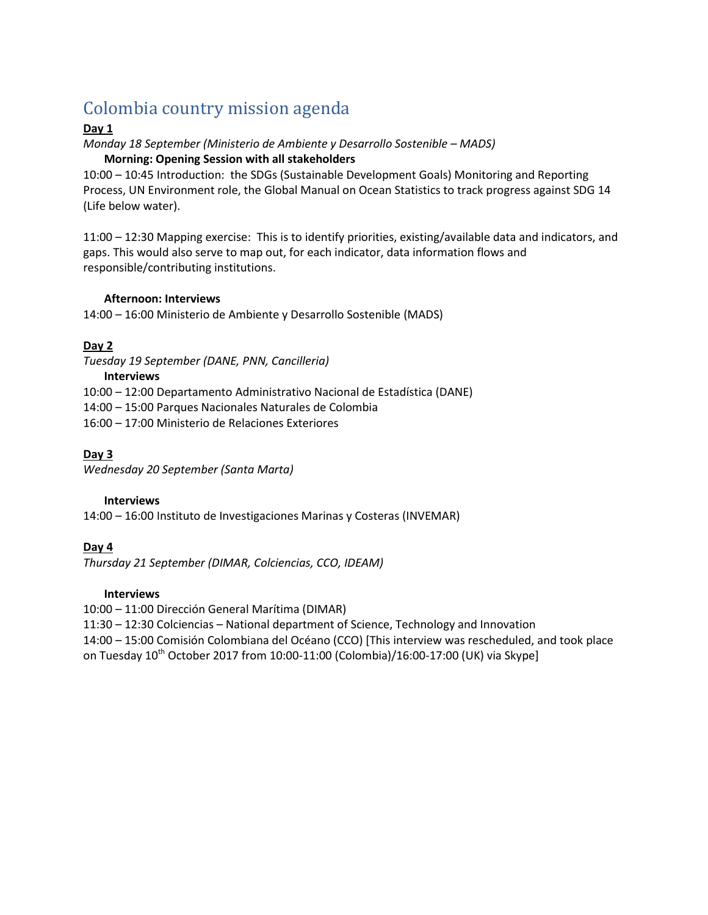# Colombia country mission agenda

#### **Day 1**

## *Monday 18 September (Ministerio de Ambiente y Desarrollo Sostenible – MADS)*

#### **Morning: Opening Session with all stakeholders**

10:00 – 10:45 Introduction: the SDGs (Sustainable Development Goals) Monitoring and Reporting Process, UN Environment role, the Global Manual on Ocean Statistics to track progress against SDG 14 (Life below water).

11:00 – 12:30 Mapping exercise: This is to identify priorities, existing/available data and indicators, and gaps. This would also serve to map out, for each indicator, data information flows and responsible/contributing institutions.

#### **Afternoon: Interviews**

14:00 – 16:00 Ministerio de Ambiente y Desarrollo Sostenible (MADS)

### **Day 2**

*Tuesday 19 September (DANE, PNN, Cancilleria)*

#### **Interviews**

10:00 – 12:00 Departamento Administrativo Nacional de Estadística (DANE)

14:00 – 15:00 Parques Nacionales Naturales de Colombia

16:00 – 17:00 Ministerio de Relaciones Exteriores

#### **Day 3**

*Wednesday 20 September (Santa Marta)*

#### **Interviews**

14:00 – 16:00 Instituto de Investigaciones Marinas y Costeras (INVEMAR)

### **Day 4**

*Thursday 21 September (DIMAR, Colciencias, CCO, IDEAM)*

#### **Interviews**

10:00 – 11:00 Dirección General Marítima (DIMAR)

11:30 – 12:30 Colciencias – National department of Science, Technology and Innovation

14:00 – 15:00 Comisión Colombiana del Océano (CCO) [This interview was rescheduled, and took place

on Tuesday 10<sup>th</sup> October 2017 from 10:00-11:00 (Colombia)/16:00-17:00 (UK) via Skype]